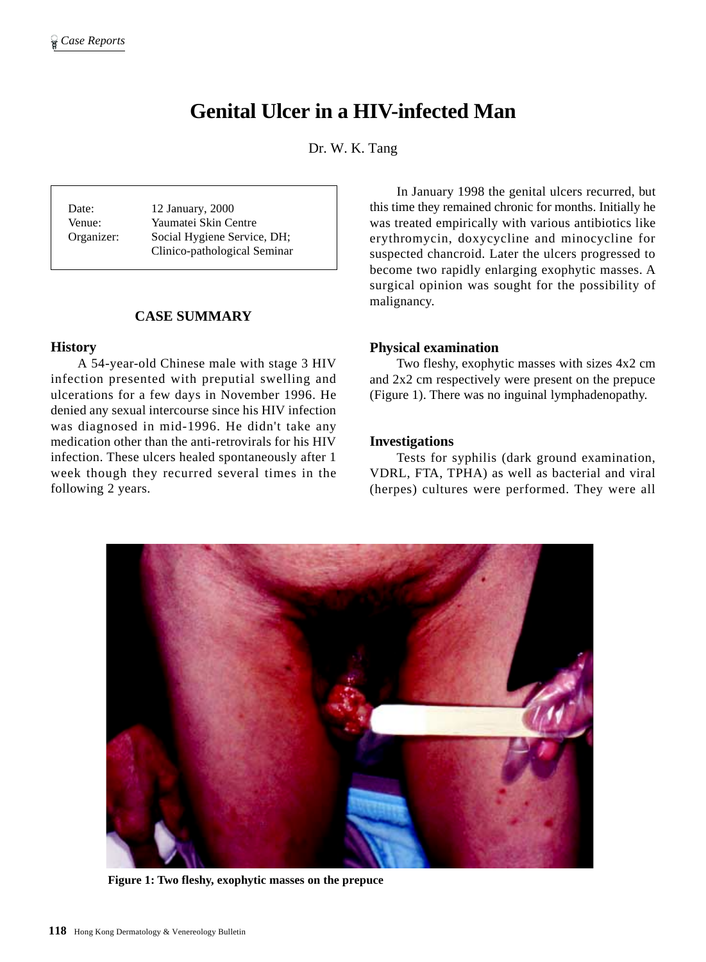# **Genital Ulcer in a HIV-infected Man**

Dr. W. K. Tang

Date: 12 January, 2000 Venue: Yaumatei Skin Centre Organizer: Social Hygiene Service, DH; Clinico-pathological Seminar

# **CASE SUMMARY**

#### **History**

A 54-year-old Chinese male with stage 3 HIV infection presented with preputial swelling and ulcerations for a few days in November 1996. He denied any sexual intercourse since his HIV infection was diagnosed in mid-1996. He didn't take any medication other than the anti-retrovirals for his HIV infection. These ulcers healed spontaneously after 1 week though they recurred several times in the following 2 years.

In January 1998 the genital ulcers recurred, but this time they remained chronic for months. Initially he was treated empirically with various antibiotics like erythromycin, doxycycline and minocycline for suspected chancroid. Later the ulcers progressed to become two rapidly enlarging exophytic masses. A surgical opinion was sought for the possibility of malignancy.

#### **Physical examination**

Two fleshy, exophytic masses with sizes 4x2 cm and 2x2 cm respectively were present on the prepuce (Figure 1). There was no inguinal lymphadenopathy.

## **Investigations**

Tests for syphilis (dark ground examination, VDRL, FTA, TPHA) as well as bacterial and viral (herpes) cultures were performed. They were all



**Figure 1: Two fleshy, exophytic masses on the prepuce**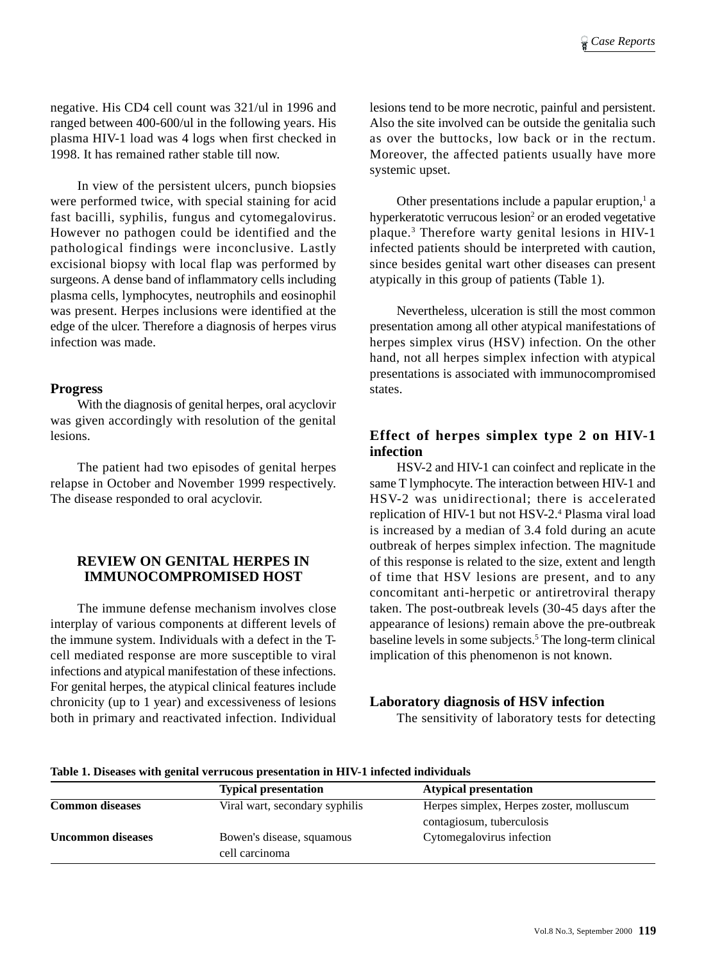negative. His CD4 cell count was 321/ul in 1996 and ranged between 400-600/ul in the following years. His plasma HIV-1 load was 4 logs when first checked in 1998. It has remained rather stable till now.

In view of the persistent ulcers, punch biopsies were performed twice, with special staining for acid fast bacilli, syphilis, fungus and cytomegalovirus. However no pathogen could be identified and the pathological findings were inconclusive. Lastly excisional biopsy with local flap was performed by surgeons. A dense band of inflammatory cells including plasma cells, lymphocytes, neutrophils and eosinophil was present. Herpes inclusions were identified at the edge of the ulcer. Therefore a diagnosis of herpes virus infection was made.

## **Progress**

With the diagnosis of genital herpes, oral acyclovir was given accordingly with resolution of the genital lesions.

The patient had two episodes of genital herpes relapse in October and November 1999 respectively. The disease responded to oral acyclovir.

# **REVIEW ON GENITAL HERPES IN IMMUNOCOMPROMISED HOST**

The immune defense mechanism involves close interplay of various components at different levels of the immune system. Individuals with a defect in the Tcell mediated response are more susceptible to viral infections and atypical manifestation of these infections. For genital herpes, the atypical clinical features include chronicity (up to 1 year) and excessiveness of lesions both in primary and reactivated infection. Individual

lesions tend to be more necrotic, painful and persistent. Also the site involved can be outside the genitalia such as over the buttocks, low back or in the rectum. Moreover, the affected patients usually have more systemic upset.

Other presentations include a papular eruption, $<sup>1</sup>$  a</sup> hyperkeratotic verrucous lesion<sup>2</sup> or an eroded vegetative plaque.3 Therefore warty genital lesions in HIV-1 infected patients should be interpreted with caution, since besides genital wart other diseases can present atypically in this group of patients (Table 1).

Nevertheless, ulceration is still the most common presentation among all other atypical manifestations of herpes simplex virus (HSV) infection. On the other hand, not all herpes simplex infection with atypical presentations is associated with immunocompromised states.

# **Effect of herpes simplex type 2 on HIV-1 infection**

HSV-2 and HIV-1 can coinfect and replicate in the same T lymphocyte. The interaction between HIV-1 and HSV-2 was unidirectional; there is accelerated replication of HIV-1 but not HSV-2.4 Plasma viral load is increased by a median of 3.4 fold during an acute outbreak of herpes simplex infection. The magnitude of this response is related to the size, extent and length of time that HSV lesions are present, and to any concomitant anti-herpetic or antiretroviral therapy taken. The post-outbreak levels (30-45 days after the appearance of lesions) remain above the pre-outbreak baseline levels in some subjects.5 The long-term clinical implication of this phenomenon is not known.

### **Laboratory diagnosis of HSV infection**

The sensitivity of laboratory tests for detecting

| <b>Typical presentation</b>                 | <b>Atypical presentation</b>                                          |
|---------------------------------------------|-----------------------------------------------------------------------|
| Viral wart, secondary syphilis              | Herpes simplex, Herpes zoster, molluscum<br>contagiosum, tuberculosis |
| Bowen's disease, squamous<br>cell carcinoma | Cytomegalovirus infection                                             |
|                                             |                                                                       |

**Table 1. Diseases with genital verrucous presentation in HIV-1 infected individuals**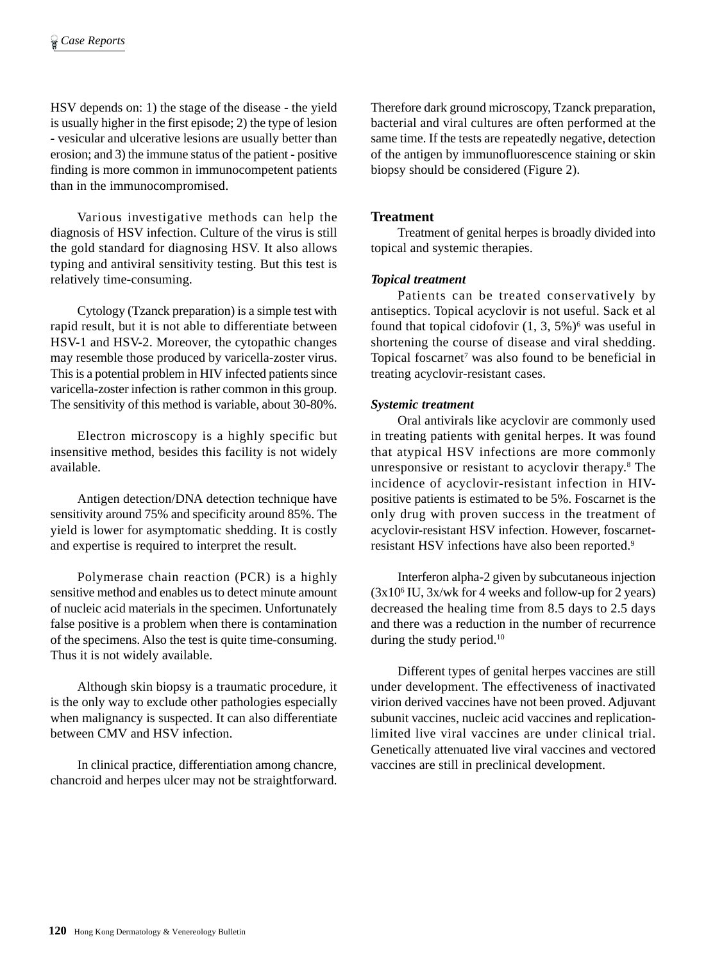HSV depends on: 1) the stage of the disease - the yield is usually higher in the first episode; 2) the type of lesion - vesicular and ulcerative lesions are usually better than erosion; and 3) the immune status of the patient - positive finding is more common in immunocompetent patients than in the immunocompromised.

Various investigative methods can help the diagnosis of HSV infection. Culture of the virus is still the gold standard for diagnosing HSV. It also allows typing and antiviral sensitivity testing. But this test is relatively time-consuming.

Cytology (Tzanck preparation) is a simple test with rapid result, but it is not able to differentiate between HSV-1 and HSV-2. Moreover, the cytopathic changes may resemble those produced by varicella-zoster virus. This is a potential problem in HIV infected patients since varicella-zoster infection is rather common in this group. The sensitivity of this method is variable, about 30-80%.

Electron microscopy is a highly specific but insensitive method, besides this facility is not widely available.

Antigen detection/DNA detection technique have sensitivity around 75% and specificity around 85%. The yield is lower for asymptomatic shedding. It is costly and expertise is required to interpret the result.

Polymerase chain reaction (PCR) is a highly sensitive method and enables us to detect minute amount of nucleic acid materials in the specimen. Unfortunately false positive is a problem when there is contamination of the specimens. Also the test is quite time-consuming. Thus it is not widely available.

Although skin biopsy is a traumatic procedure, it is the only way to exclude other pathologies especially when malignancy is suspected. It can also differentiate between CMV and HSV infection.

In clinical practice, differentiation among chancre, chancroid and herpes ulcer may not be straightforward. Therefore dark ground microscopy, Tzanck preparation, bacterial and viral cultures are often performed at the same time. If the tests are repeatedly negative, detection of the antigen by immunofluorescence staining or skin biopsy should be considered (Figure 2).

## **Treatment**

Treatment of genital herpes is broadly divided into topical and systemic therapies.

### *Topical treatment*

Patients can be treated conservatively by antiseptics. Topical acyclovir is not useful. Sack et al found that topical cidofovir  $(1, 3, 5\%)^6$  was useful in shortening the course of disease and viral shedding. Topical foscarnet<sup>7</sup> was also found to be beneficial in treating acyclovir-resistant cases.

### *Systemic treatment*

Oral antivirals like acyclovir are commonly used in treating patients with genital herpes. It was found that atypical HSV infections are more commonly unresponsive or resistant to acyclovir therapy.<sup>8</sup> The incidence of acyclovir-resistant infection in HIVpositive patients is estimated to be 5%. Foscarnet is the only drug with proven success in the treatment of acyclovir-resistant HSV infection. However, foscarnetresistant HSV infections have also been reported.9

Interferon alpha-2 given by subcutaneous injection (3x106 IU, 3x/wk for 4 weeks and follow-up for 2 years) decreased the healing time from 8.5 days to 2.5 days and there was a reduction in the number of recurrence during the study period.<sup>10</sup>

Different types of genital herpes vaccines are still under development. The effectiveness of inactivated virion derived vaccines have not been proved. Adjuvant subunit vaccines, nucleic acid vaccines and replicationlimited live viral vaccines are under clinical trial. Genetically attenuated live viral vaccines and vectored vaccines are still in preclinical development.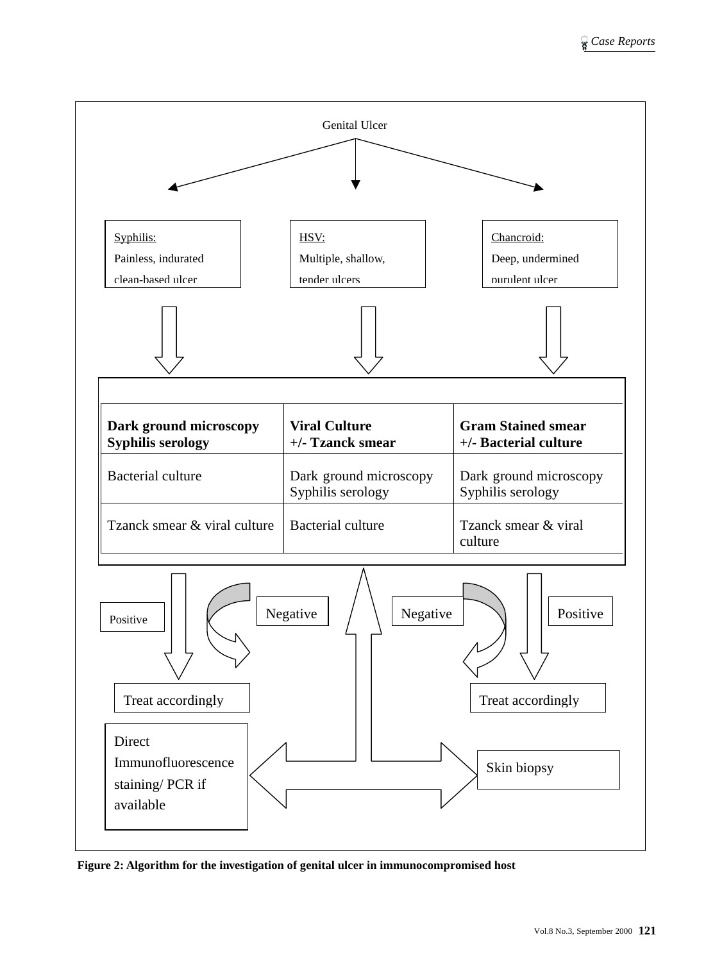

**Figure 2: Algorithm for the investigation of genital ulcer in immunocompromised host**